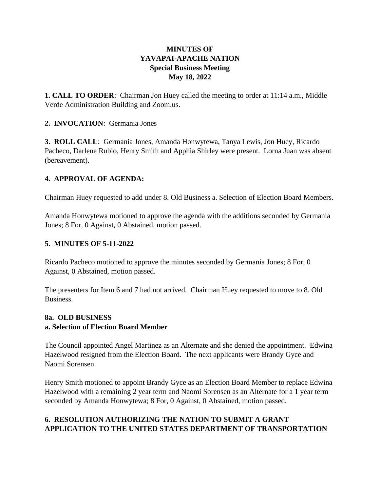## **MINUTES OF YAVAPAI-APACHE NATION Special Business Meeting May 18, 2022**

**1. CALL TO ORDER**: Chairman Jon Huey called the meeting to order at 11:14 a.m., Middle Verde Administration Building and Zoom.us.

#### **2. INVOCATION**: Germania Jones

**3. ROLL CALL**: Germania Jones, Amanda Honwytewa, Tanya Lewis, Jon Huey, Ricardo Pacheco, Darlene Rubio, Henry Smith and Apphia Shirley were present. Lorna Juan was absent (bereavement).

### **4. APPROVAL OF AGENDA:**

Chairman Huey requested to add under 8. Old Business a. Selection of Election Board Members.

Amanda Honwytewa motioned to approve the agenda with the additions seconded by Germania Jones; 8 For, 0 Against, 0 Abstained, motion passed.

### **5. MINUTES OF 5-11-2022**

Ricardo Pacheco motioned to approve the minutes seconded by Germania Jones; 8 For, 0 Against, 0 Abstained, motion passed.

The presenters for Item 6 and 7 had not arrived. Chairman Huey requested to move to 8. Old Business.

### **8a. OLD BUSINESS a. Selection of Election Board Member**

The Council appointed Angel Martinez as an Alternate and she denied the appointment. Edwina Hazelwood resigned from the Election Board. The next applicants were Brandy Gyce and Naomi Sorensen.

Henry Smith motioned to appoint Brandy Gyce as an Election Board Member to replace Edwina Hazelwood with a remaining 2 year term and Naomi Sorensen as an Alternate for a 1 year term seconded by Amanda Honwytewa; 8 For, 0 Against, 0 Abstained, motion passed.

## **6. RESOLUTION AUTHORIZING THE NATION TO SUBMIT A GRANT APPLICATION TO THE UNITED STATES DEPARTMENT OF TRANSPORTATION**